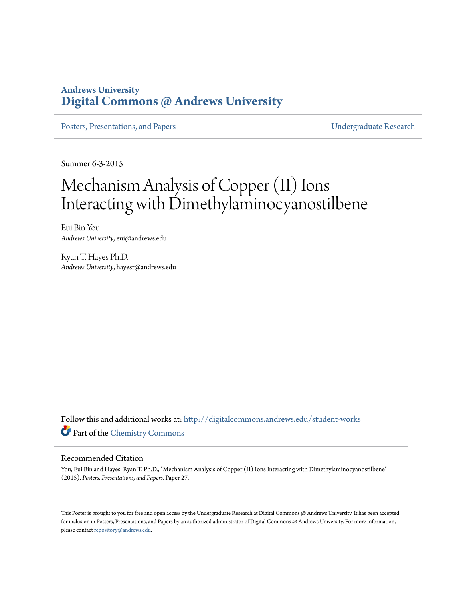### **Andrews University [Digital Commons @ Andrews University](http://digitalcommons.andrews.edu?utm_source=digitalcommons.andrews.edu%2Fstudent-works%2F27&utm_medium=PDF&utm_campaign=PDFCoverPages)**

[Posters, Presentations, and Papers](http://digitalcommons.andrews.edu/student-works?utm_source=digitalcommons.andrews.edu%2Fstudent-works%2F27&utm_medium=PDF&utm_campaign=PDFCoverPages) **Presentations**, and Papers **Presentations**, and Papers **Presentations**, and Papers **Presentations**, and **Papers Presentations**, and **Papers Presentations**, and **Papers Presentation** 

Summer 6-3-2015

### Mechanism Analysis of Copper (II) Ions Interacting with Dimethylaminocyanostilbene

Eui Bin You *Andrews University*, eui@andrews.edu

Ryan T. Hayes Ph.D. *Andrews University*, hayesr@andrews.edu

Follow this and additional works at: [http://digitalcommons.andrews.edu/student-works](http://digitalcommons.andrews.edu/student-works?utm_source=digitalcommons.andrews.edu%2Fstudent-works%2F27&utm_medium=PDF&utm_campaign=PDFCoverPages) Part of the [Chemistry Commons](http://network.bepress.com/hgg/discipline/131?utm_source=digitalcommons.andrews.edu%2Fstudent-works%2F27&utm_medium=PDF&utm_campaign=PDFCoverPages)

### Recommended Citation

You, Eui Bin and Hayes, Ryan T. Ph.D., "Mechanism Analysis of Copper (II) Ions Interacting with Dimethylaminocyanostilbene" (2015). *Posters, Presentations, and Papers.* Paper 27.

This Poster is brought to you for free and open access by the Undergraduate Research at Digital Commons @ Andrews University. It has been accepted for inclusion in Posters, Presentations, and Papers by an authorized administrator of Digital Commons @ Andrews University. For more information, please contact [repository@andrews.edu.](mailto:repository@andrews.edu)